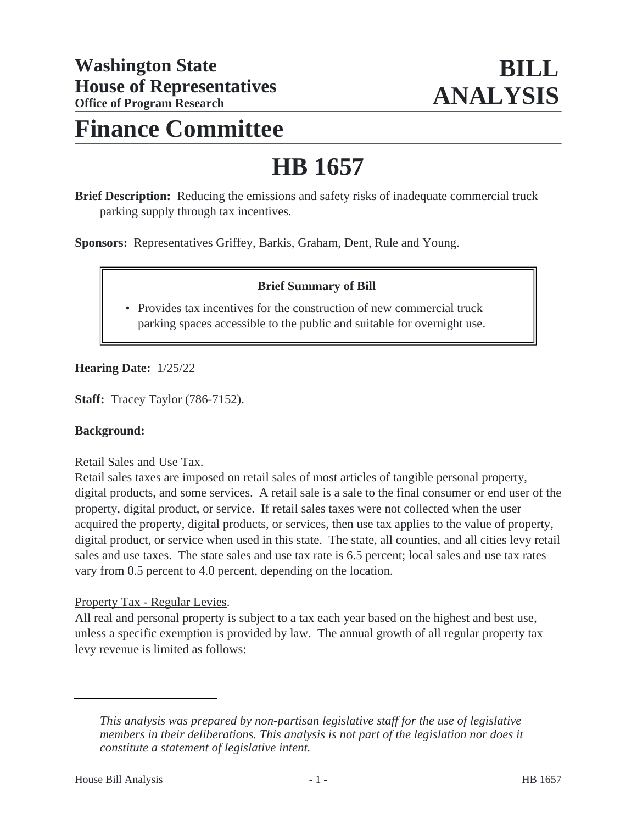# **Finance Committee**

# **HB 1657**

**Brief Description:** Reducing the emissions and safety risks of inadequate commercial truck parking supply through tax incentives.

**Sponsors:** Representatives Griffey, Barkis, Graham, Dent, Rule and Young.

# **Brief Summary of Bill**

• Provides tax incentives for the construction of new commercial truck parking spaces accessible to the public and suitable for overnight use.

#### **Hearing Date:** 1/25/22

**Staff:** Tracey Taylor (786-7152).

#### **Background:**

#### Retail Sales and Use Tax.

Retail sales taxes are imposed on retail sales of most articles of tangible personal property, digital products, and some services. A retail sale is a sale to the final consumer or end user of the property, digital product, or service. If retail sales taxes were not collected when the user acquired the property, digital products, or services, then use tax applies to the value of property, digital product, or service when used in this state. The state, all counties, and all cities levy retail sales and use taxes. The state sales and use tax rate is 6.5 percent; local sales and use tax rates vary from 0.5 percent to 4.0 percent, depending on the location.

#### Property Tax - Regular Levies.

All real and personal property is subject to a tax each year based on the highest and best use, unless a specific exemption is provided by law. The annual growth of all regular property tax levy revenue is limited as follows:

*This analysis was prepared by non-partisan legislative staff for the use of legislative members in their deliberations. This analysis is not part of the legislation nor does it constitute a statement of legislative intent.*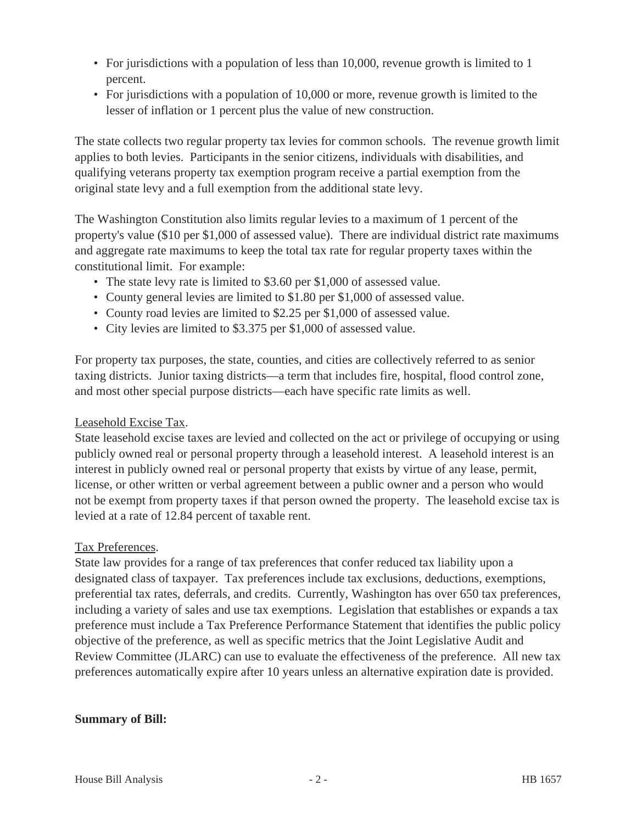- For jurisdictions with a population of less than 10,000, revenue growth is limited to 1 percent.
- For jurisdictions with a population of 10,000 or more, revenue growth is limited to the lesser of inflation or 1 percent plus the value of new construction.

The state collects two regular property tax levies for common schools. The revenue growth limit applies to both levies. Participants in the senior citizens, individuals with disabilities, and qualifying veterans property tax exemption program receive a partial exemption from the original state levy and a full exemption from the additional state levy.

The Washington Constitution also limits regular levies to a maximum of 1 percent of the property's value (\$10 per \$1,000 of assessed value). There are individual district rate maximums and aggregate rate maximums to keep the total tax rate for regular property taxes within the constitutional limit. For example:

- The state levy rate is limited to \$3.60 per \$1,000 of assessed value.
- County general levies are limited to \$1.80 per \$1,000 of assessed value.
- County road levies are limited to \$2.25 per \$1,000 of assessed value.
- City levies are limited to \$3.375 per \$1,000 of assessed value.

For property tax purposes, the state, counties, and cities are collectively referred to as senior taxing districts. Junior taxing districts—a term that includes fire, hospital, flood control zone, and most other special purpose districts—each have specific rate limits as well.

# Leasehold Excise Tax.

State leasehold excise taxes are levied and collected on the act or privilege of occupying or using publicly owned real or personal property through a leasehold interest. A leasehold interest is an interest in publicly owned real or personal property that exists by virtue of any lease, permit, license, or other written or verbal agreement between a public owner and a person who would not be exempt from property taxes if that person owned the property. The leasehold excise tax is levied at a rate of 12.84 percent of taxable rent.

# Tax Preferences.

State law provides for a range of tax preferences that confer reduced tax liability upon a designated class of taxpayer. Tax preferences include tax exclusions, deductions, exemptions, preferential tax rates, deferrals, and credits. Currently, Washington has over 650 tax preferences, including a variety of sales and use tax exemptions. Legislation that establishes or expands a tax preference must include a Tax Preference Performance Statement that identifies the public policy objective of the preference, as well as specific metrics that the Joint Legislative Audit and Review Committee (JLARC) can use to evaluate the effectiveness of the preference. All new tax preferences automatically expire after 10 years unless an alternative expiration date is provided.

# **Summary of Bill:**